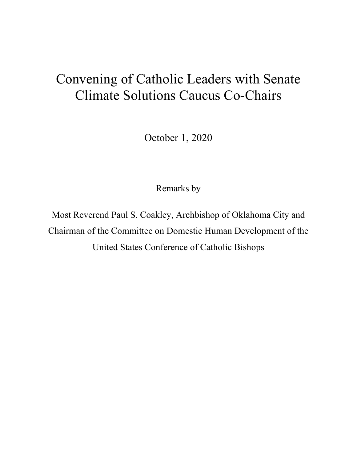## Convening of Catholic Leaders with Senate Climate Solutions Caucus Co-Chairs

October 1, 2020

Remarks by

Most Reverend Paul S. Coakley, Archbishop of Oklahoma City and Chairman of the Committee on Domestic Human Development of the United States Conference of Catholic Bishops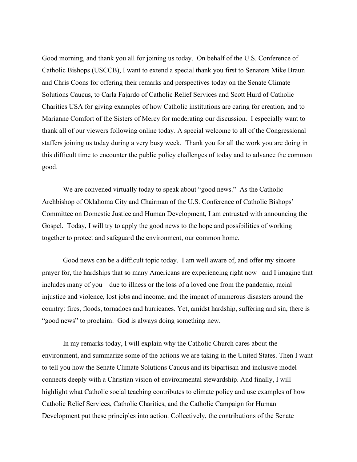Good morning, and thank you all for joining us today. On behalf of the U.S. Conference of Catholic Bishops (USCCB), I want to extend a special thank you first to Senators Mike Braun and Chris Coons for offering their remarks and perspectives today on the Senate Climate Solutions Caucus, to Carla Fajardo of Catholic Relief Services and Scott Hurd of Catholic Charities USA for giving examples of how Catholic institutions are caring for creation, and to Marianne Comfort of the Sisters of Mercy for moderating our discussion. I especially want to thank all of our viewers following online today. A special welcome to all of the Congressional staffers joining us today during a very busy week. Thank you for all the work you are doing in this difficult time to encounter the public policy challenges of today and to advance the common good.

We are convened virtually today to speak about "good news." As the Catholic Archbishop of Oklahoma City and Chairman of the U.S. Conference of Catholic Bishops' Committee on Domestic Justice and Human Development, I am entrusted with announcing the Gospel. Today, I will try to apply the good news to the hope and possibilities of working together to protect and safeguard the environment, our common home.

Good news can be a difficult topic today. I am well aware of, and offer my sincere prayer for, the hardships that so many Americans are experiencing right now –and I imagine that includes many of you—due to illness or the loss of a loved one from the pandemic, racial injustice and violence, lost jobs and income, and the impact of numerous disasters around the country: fires, floods, tornadoes and hurricanes. Yet, amidst hardship, suffering and sin, there is "good news" to proclaim. God is always doing something new.

In my remarks today, I will explain why the Catholic Church cares about the environment, and summarize some of the actions we are taking in the United States. Then I want to tell you how the Senate Climate Solutions Caucus and its bipartisan and inclusive model connects deeply with a Christian vision of environmental stewardship. And finally, I will highlight what Catholic social teaching contributes to climate policy and use examples of how Catholic Relief Services, Catholic Charities, and the Catholic Campaign for Human Development put these principles into action. Collectively, the contributions of the Senate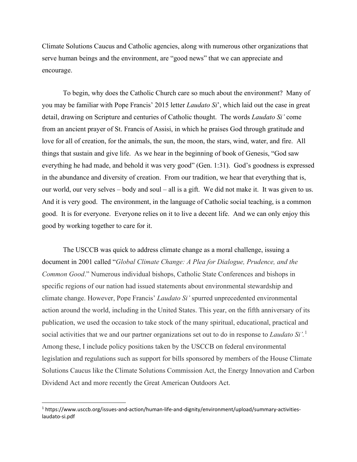Climate Solutions Caucus and Catholic agencies, along with numerous other organizations that serve human beings and the environment, are "good news" that we can appreciate and encourage.

To begin, why does the Catholic Church care so much about the environment? Many of you may be familiar with Pope Francis' 2015 letter *Laudato Si*', which laid out the case in great detail, drawing on Scripture and centuries of Catholic thought. The words *Laudato Si'* come from an ancient prayer of St. Francis of Assisi, in which he praises God through gratitude and love for all of creation, for the animals, the sun, the moon, the stars, wind, water, and fire. All things that sustain and give life. As we hear in the beginning of book of Genesis, "God saw everything he had made, and behold it was very good" (Gen. 1:31). God's goodness is expressed in the abundance and diversity of creation. From our tradition, we hear that everything that is, our world, our very selves – body and soul – all is a gift. We did not make it. It was given to us. And it is very good. The environment, in the language of Catholic social teaching, is a common good. It is for everyone. Everyone relies on it to live a decent life. And we can only enjoy this good by working together to care for it.

The USCCB was quick to address climate change as a moral challenge, issuing a document in 2001 called "*Global Climate Change: A Plea for Dialogue, Prudence, and the Common Good*." Numerous individual bishops, Catholic State Conferences and bishops in specific regions of our nation had issued statements about environmental stewardship and climate change. However, Pope Francis' *Laudato Si'* spurred unprecedented environmental action around the world, including in the United States. This year, on the fifth anniversary of its publication, we used the occasion to take stock of the many spiritual, educational, practical and social activities that we and our partner organizations set out to do in response to *Laudato Si'.*[1](#page-2-0) Among these, I include policy positions taken by the USCCB on federal environmental legislation and regulations such as support for bills sponsored by members of the House Climate Solutions Caucus like the Climate Solutions Commission Act, the Energy Innovation and Carbon Dividend Act and more recently the Great American Outdoors Act.

<span id="page-2-0"></span><sup>1</sup> https://www.usccb.org/issues-and-action/human-life-and-dignity/environment/upload/summary-activitieslaudato-si.pdf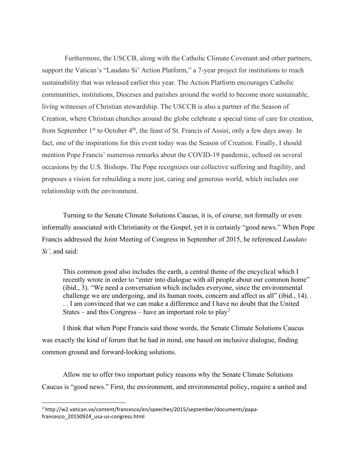Furthermore, the USCCB, along with the Catholic Climate Covenant and other partners, support the Vatican's "Laudato Si' Action Platform," a 7-year project for institutions to reach sustainability that was released earlier this year. The Action Platform encourages Catholic communities, institutions, Dioceses and parishes around the world to become more sustainable, living witnesses of Christian stewardship. The USCCB is also a partner of the Season of Creation, where Christian churches around the globe celebrate a special time of care for creation, from September 1<sup>st</sup> to October 4<sup>th</sup>, the feast of St. Francis of Assisi, only a few days away. In fact, one of the inspirations for this event today was the Season of Creation. Finally, I should mention Pope Francis' numerous remarks about the COVID-19 pandemic, echoed on several occasions by the U.S. Bishops. The Pope recognizes our collective suffering and fragility, and proposes a vision for rebuilding a more just, caring and generous world, which includes our relationship with the environment.

Turning to the Senate Climate Solutions Caucus, it is, of course, not formally or even informally associated with Christianity or the Gospel, yet it is certainly "good news." When Pope Francis addressed the Joint Meeting of Congress in September of 2015, he referenced *Laudato Si',* and said:

This common good also includes the earth, a central theme of the encyclical which I recently wrote in order to "enter into dialogue with all people about our common home" (ibid., 3). "We need a conversation which includes everyone, since the environmental challenge we are undergoing, and its human roots, concern and affect us all" (ibid., 14). . . . I am convinced that we can make a difference and I have no doubt that the United States – and this Congress – have an important role to play*[2](#page-3-0)*

I think that when Pope Francis said those words, the Senate Climate Solutions Caucus was exactly the kind of forum that he had in mind, one based on inclusive dialogue, finding common ground and forward-looking solutions.

Allow me to offer two important policy reasons why the Senate Climate Solutions Caucus is "good news." First, the environment, and environmental policy, require a united and

<span id="page-3-0"></span><sup>2</sup> http://w2.vatican.va/content/francesco/en/speeches/2015/september/documents/papafrancesco\_20150924\_usa-us-congress.html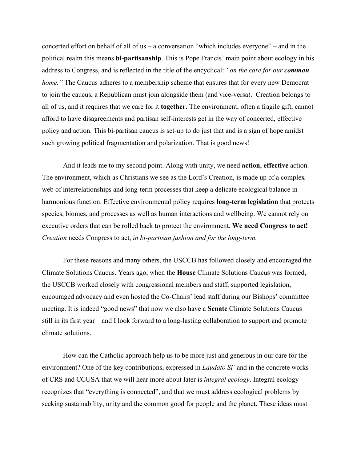concerted effort on behalf of all of us – a conversation "which includes everyone" – and in the political realm this means **bi-partisanship**. This is Pope Francis' main point about ecology in his address to Congress, and is reflected in the title of the encyclical: *"on the care for our common home.*" The Caucus adheres to a membership scheme that ensures that for every new Democrat to join the caucus, a Republican must join alongside them (and vice-versa). Creation belongs to all of us, and it requires that we care for it **together.** The environment, often a fragile gift, cannot afford to have disagreements and partisan self-interests get in the way of concerted, effective policy and action. This bi-partisan caucus is set-up to do just that and is a sign of hope amidst such growing political fragmentation and polarization. That is good news!

And it leads me to my second point. Along with unity, we need **action**, **effective** action. The environment, which as Christians we see as the Lord's Creation, is made up of a complex web of interrelationships and long-term processes that keep a delicate ecological balance in harmonious function. Effective environmental policy requires **long-term legislation** that protects species, biomes, and processes as well as human interactions and wellbeing. We cannot rely on executive orders that can be rolled back to protect the environment. **We need Congress to act!**  *Creation* needs Congress to act, *in bi-partisan fashion and for the long-term.* 

For these reasons and many others, the USCCB has followed closely and encouraged the Climate Solutions Caucus. Years ago, when the **House** Climate Solutions Caucus was formed, the USCCB worked closely with congressional members and staff, supported legislation, encouraged advocacy and even hosted the Co-Chairs' lead staff during our Bishops' committee meeting. It is indeed "good news" that now we also have a **Senate** Climate Solutions Caucus – still in its first year – and I look forward to a long-lasting collaboration to support and promote climate solutions.

How can the Catholic approach help us to be more just and generous in our care for the environment? One of the key contributions, expressed in *Laudato Si'* and in the concrete works of CRS and CCUSA that we will hear more about later is *integral ecology*. Integral ecology recognizes that "everything is connected", and that we must address ecological problems by seeking sustainability, unity and the common good for people and the planet. These ideas must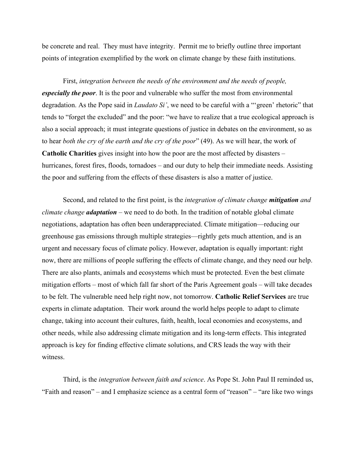be concrete and real. They must have integrity. Permit me to briefly outline three important points of integration exemplified by the work on climate change by these faith institutions.

First, *integration between the needs of the environment and the needs of people, especially the poor*. It is the poor and vulnerable who suffer the most from environmental degradation. As the Pope said in *Laudato Si'*, we need to be careful with a "'green' rhetoric" that tends to "forget the excluded" and the poor: "we have to realize that a true ecological approach is also a social approach; it must integrate questions of justice in debates on the environment, so as to hear *both the cry of the earth and the cry of the poor*" (49). As we will hear, the work of **Catholic Charities** gives insight into how the poor are the most affected by disasters – hurricanes, forest fires, floods, tornadoes – and our duty to help their immediate needs. Assisting the poor and suffering from the effects of these disasters is also a matter of justice.

Second, and related to the first point, is the *integration of climate change mitigation and climate change adaptation* – we need to do both. In the tradition of notable global climate negotiations, adaptation has often been underappreciated. Climate mitigation—reducing our greenhouse gas emissions through multiple strategies—rightly gets much attention, and is an urgent and necessary focus of climate policy. However, adaptation is equally important: right now, there are millions of people suffering the effects of climate change, and they need our help. There are also plants, animals and ecosystems which must be protected. Even the best climate mitigation efforts – most of which fall far short of the Paris Agreement goals – will take decades to be felt. The vulnerable need help right now, not tomorrow. **Catholic Relief Services** are true experts in climate adaptation. Their work around the world helps people to adapt to climate change, taking into account their cultures, faith, health, local economies and ecosystems, and other needs, while also addressing climate mitigation and its long-term effects. This integrated approach is key for finding effective climate solutions, and CRS leads the way with their witness.

Third, is the *integration between faith and science*. As Pope St. John Paul II reminded us, "Faith and reason" – and I emphasize science as a central form of "reason" – "are like two wings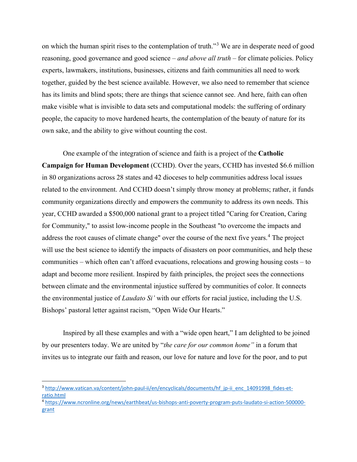on which the human spirit rises to the contemplation of truth."[3](#page-6-0) We are in desperate need of good reasoning, good governance and good science – *and above all truth* – for climate policies. Policy experts, lawmakers, institutions, businesses, citizens and faith communities all need to work together, guided by the best science available. However, we also need to remember that science has its limits and blind spots; there are things that science cannot see. And here, faith can often make visible what is invisible to data sets and computational models: the suffering of ordinary people, the capacity to move hardened hearts, the contemplation of the beauty of nature for its own sake, and the ability to give without counting the cost.

One example of the integration of science and faith is a project of the **Catholic Campaign for Human Development** (CCHD). Over the years, CCHD has invested \$6.6 million in 80 organizations across 28 states and 42 dioceses to help communities address local issues related to the environment. And CCHD doesn't simply throw money at problems; rather, it funds community organizations directly and empowers the community to address its own needs. This year, CCHD awarded a \$500,000 national grant to a project titled "Caring for Creation, Caring for Community," to assist low-income people in the Southeast "to overcome the impacts and address the root causes of climate change" over the course of the next five years.<sup>[4](#page-6-1)</sup> The project will use the best science to identify the impacts of disasters on poor communities, and help these communities – which often can't afford evacuations, relocations and growing housing costs – to adapt and become more resilient. Inspired by faith principles, the project sees the connections between climate and the environmental injustice suffered by communities of color. It connects the environmental justice of *Laudato Si'* with our efforts for racial justice, including the U.S. Bishops' pastoral letter against racism, "Open Wide Our Hearts."

Inspired by all these examples and with a "wide open heart," I am delighted to be joined by our presenters today. We are united by "*the care for our common home"* in a forum that invites us to integrate our faith and reason, our love for nature and love for the poor, and to put

<span id="page-6-0"></span><sup>&</sup>lt;sup>3</sup> [http://www.vatican.va/content/john-paul-ii/en/encyclicals/documents/hf\\_jp-ii\\_enc\\_14091998\\_fides-et](http://www.vatican.va/content/john-paul-ii/en/encyclicals/documents/hf_jp-ii_enc_14091998_fides-et-ratio.html)[ratio.html](http://www.vatican.va/content/john-paul-ii/en/encyclicals/documents/hf_jp-ii_enc_14091998_fides-et-ratio.html)

<span id="page-6-1"></span><sup>4</sup> [https://www.ncronline.org/news/earthbeat/us-bishops-anti-poverty-program-puts-laudato-si-action-500000](https://www.ncronline.org/news/earthbeat/us-bishops-anti-poverty-program-puts-laudato-si-action-500000-grant) [grant](https://www.ncronline.org/news/earthbeat/us-bishops-anti-poverty-program-puts-laudato-si-action-500000-grant)